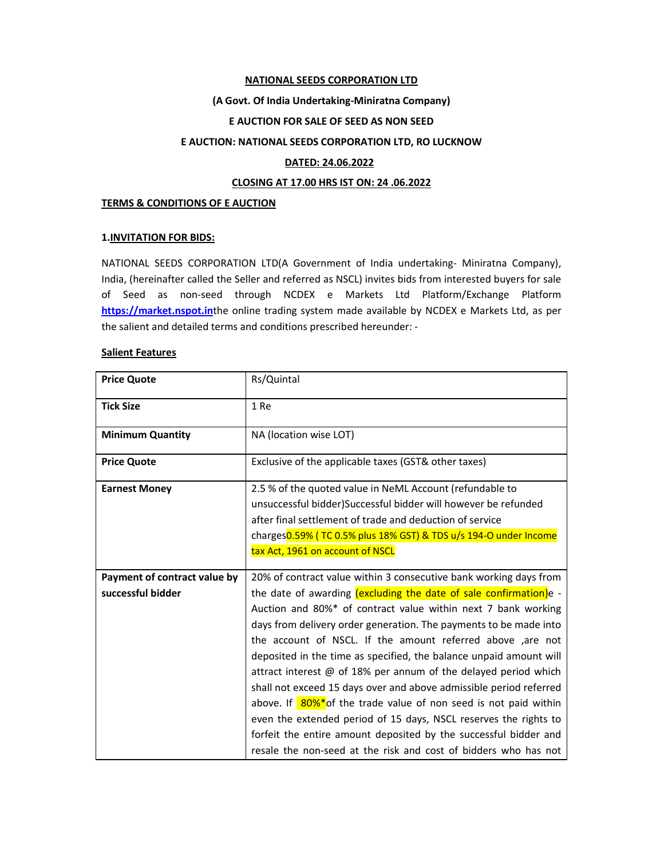#### NATIONAL SEEDS CORPORATION LTD

### (A Govt. Of India Undertaking-Miniratna Company)

### E AUCTION FOR SALE OF SEED AS NON SEED

## E AUCTION: NATIONAL SEEDS CORPORATION LTD, RO LUCKNOW

### DATED: 24.06.2022

## CLOSING AT 17.00 HRS IST ON: 24 .06.2022

### TERMS & CONDITIONS OF E AUCTION

## 1.INVITATION FOR BIDS:

NATIONAL SEEDS CORPORATION LTD(A Government of India undertaking- Miniratna Company), India, (hereinafter called the Seller and referred as NSCL) invites bids from interested buyers for sale of Seed as non-seed through NCDEX e Markets Ltd Platform/Exchange Platform https://market.nspot.inthe online trading system made available by NCDEX e Markets Ltd, as per the salient and detailed terms and conditions prescribed hereunder: -

### Salient Features

| <b>Price Quote</b>           | Rs/Quintal                                                                                                                                                                                                                                                                                                                                                                                                                                                                                                                                                                                                                                                                                                                                                           |
|------------------------------|----------------------------------------------------------------------------------------------------------------------------------------------------------------------------------------------------------------------------------------------------------------------------------------------------------------------------------------------------------------------------------------------------------------------------------------------------------------------------------------------------------------------------------------------------------------------------------------------------------------------------------------------------------------------------------------------------------------------------------------------------------------------|
| <b>Tick Size</b>             | 1 Re                                                                                                                                                                                                                                                                                                                                                                                                                                                                                                                                                                                                                                                                                                                                                                 |
| <b>Minimum Quantity</b>      | NA (location wise LOT)                                                                                                                                                                                                                                                                                                                                                                                                                                                                                                                                                                                                                                                                                                                                               |
| <b>Price Quote</b>           | Exclusive of the applicable taxes (GST& other taxes)                                                                                                                                                                                                                                                                                                                                                                                                                                                                                                                                                                                                                                                                                                                 |
| <b>Earnest Money</b>         | 2.5 % of the quoted value in NeML Account (refundable to<br>unsuccessful bidder)Successful bidder will however be refunded<br>after final settlement of trade and deduction of service<br>charges0.59% (TC 0.5% plus 18% GST) & TDS u/s 194-O under Income<br>tax Act, 1961 on account of NSCL                                                                                                                                                                                                                                                                                                                                                                                                                                                                       |
| Payment of contract value by | 20% of contract value within 3 consecutive bank working days from                                                                                                                                                                                                                                                                                                                                                                                                                                                                                                                                                                                                                                                                                                    |
| successful bidder            | the date of awarding (excluding the date of sale confirmation)e -<br>Auction and 80%* of contract value within next 7 bank working<br>days from delivery order generation. The payments to be made into<br>the account of NSCL. If the amount referred above ,are not<br>deposited in the time as specified, the balance unpaid amount will<br>attract interest $@$ of 18% per annum of the delayed period which<br>shall not exceed 15 days over and above admissible period referred<br>above. If 80%*of the trade value of non seed is not paid within<br>even the extended period of 15 days, NSCL reserves the rights to<br>forfeit the entire amount deposited by the successful bidder and<br>resale the non-seed at the risk and cost of bidders who has not |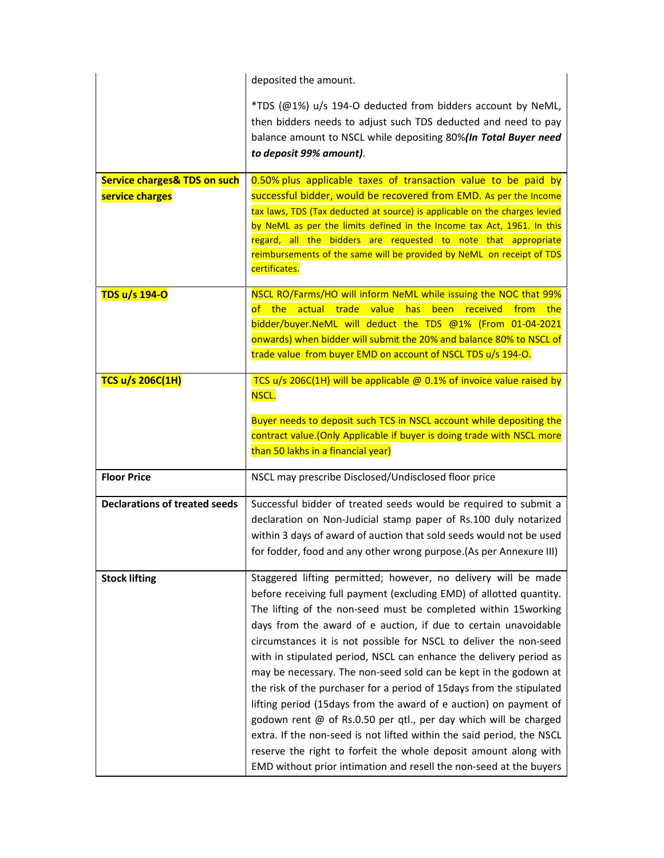|                                                            | deposited the amount.                                                                                                                                                                                                                                                                                                                                                                                                                                                                                                                                                                                                                                                                                                                                                                                                                                                                                                          |  |  |  |  |
|------------------------------------------------------------|--------------------------------------------------------------------------------------------------------------------------------------------------------------------------------------------------------------------------------------------------------------------------------------------------------------------------------------------------------------------------------------------------------------------------------------------------------------------------------------------------------------------------------------------------------------------------------------------------------------------------------------------------------------------------------------------------------------------------------------------------------------------------------------------------------------------------------------------------------------------------------------------------------------------------------|--|--|--|--|
|                                                            | *TDS (@1%) u/s 194-O deducted from bidders account by NeML,<br>then bidders needs to adjust such TDS deducted and need to pay<br>balance amount to NSCL while depositing 80%(In Total Buyer need<br>to deposit 99% amount).                                                                                                                                                                                                                                                                                                                                                                                                                                                                                                                                                                                                                                                                                                    |  |  |  |  |
| <b>Service charges&amp; TDS on such</b><br>service charges | 0.50% plus applicable taxes of transaction value to be paid by<br>successful bidder, would be recovered from EMD. As per the Income<br>tax laws, TDS (Tax deducted at source) is applicable on the charges levied<br>by NeML as per the limits defined in the Income tax Act, 1961. In this<br>regard, all the bidders are requested to note that appropriate<br>reimbursements of the same will be provided by NeML on receipt of TDS<br>certificates.                                                                                                                                                                                                                                                                                                                                                                                                                                                                        |  |  |  |  |
| TDS u/s 194-O                                              | NSCL RO/Farms/HO will inform NeML while issuing the NOC that 99%<br>of the<br>actual trade value has<br>been received<br>from<br>the<br>bidder/buyer.NeML will deduct the TDS @1% (From 01-04-2021<br>onwards) when bidder will submit the 20% and balance 80% to NSCL of<br>trade value from buyer EMD on account of NSCL TDS u/s 194-O.                                                                                                                                                                                                                                                                                                                                                                                                                                                                                                                                                                                      |  |  |  |  |
| <b>TCS u/s 206C(1H)</b>                                    | TCS u/s 206C(1H) will be applicable @ 0.1% of invoice value raised by<br>NSCL.                                                                                                                                                                                                                                                                                                                                                                                                                                                                                                                                                                                                                                                                                                                                                                                                                                                 |  |  |  |  |
|                                                            | Buyer needs to deposit such TCS in NSCL account while depositing the<br>contract value.(Only Applicable if buyer is doing trade with NSCL more<br>than 50 lakhs in a financial year)                                                                                                                                                                                                                                                                                                                                                                                                                                                                                                                                                                                                                                                                                                                                           |  |  |  |  |
| <b>Floor Price</b>                                         | NSCL may prescribe Disclosed/Undisclosed floor price                                                                                                                                                                                                                                                                                                                                                                                                                                                                                                                                                                                                                                                                                                                                                                                                                                                                           |  |  |  |  |
| <b>Declarations of treated seeds</b>                       | Successful bidder of treated seeds would be required to submit a<br>declaration on Non-Judicial stamp paper of Rs.100 duly notarized<br>within 3 days of award of auction that sold seeds would not be used<br>for fodder, food and any other wrong purpose. (As per Annexure III)                                                                                                                                                                                                                                                                                                                                                                                                                                                                                                                                                                                                                                             |  |  |  |  |
| <b>Stock lifting</b>                                       | Staggered lifting permitted; however, no delivery will be made<br>before receiving full payment (excluding EMD) of allotted quantity.<br>The lifting of the non-seed must be completed within 15working<br>days from the award of e auction, if due to certain unavoidable<br>circumstances it is not possible for NSCL to deliver the non-seed<br>with in stipulated period, NSCL can enhance the delivery period as<br>may be necessary. The non-seed sold can be kept in the godown at<br>the risk of the purchaser for a period of 15 days from the stipulated<br>lifting period (15days from the award of e auction) on payment of<br>godown rent @ of Rs.0.50 per qtl., per day which will be charged<br>extra. If the non-seed is not lifted within the said period, the NSCL<br>reserve the right to forfeit the whole deposit amount along with<br>EMD without prior intimation and resell the non-seed at the buyers |  |  |  |  |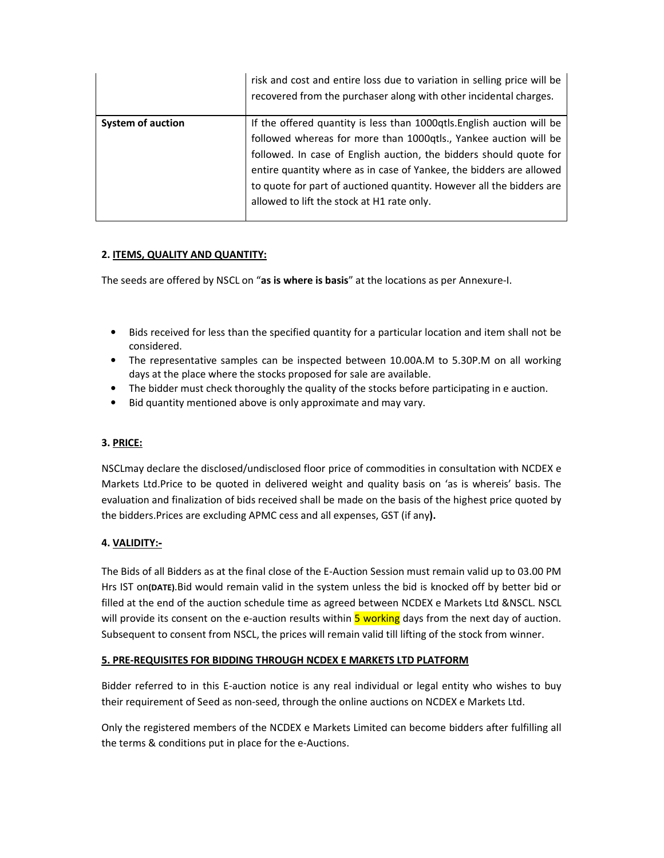|                          | risk and cost and entire loss due to variation in selling price will be<br>recovered from the purchaser along with other incidental charges.                                                                                                                                                                                                                                                                  |
|--------------------------|---------------------------------------------------------------------------------------------------------------------------------------------------------------------------------------------------------------------------------------------------------------------------------------------------------------------------------------------------------------------------------------------------------------|
| <b>System of auction</b> | If the offered quantity is less than 1000qtls. English auction will be<br>followed whereas for more than 1000qtls., Yankee auction will be<br>followed. In case of English auction, the bidders should quote for<br>entire quantity where as in case of Yankee, the bidders are allowed<br>to quote for part of auctioned quantity. However all the bidders are<br>allowed to lift the stock at H1 rate only. |

# 2. ITEMS, QUALITY AND QUANTITY:

The seeds are offered by NSCL on "as is where is basis" at the locations as per Annexure-I.

- Bids received for less than the specified quantity for a particular location and item shall not be considered.
- The representative samples can be inspected between 10.00A.M to 5.30P.M on all working days at the place where the stocks proposed for sale are available.
- The bidder must check thoroughly the quality of the stocks before participating in e auction.
- Bid quantity mentioned above is only approximate and may vary.

## 3. PRICE:

NSCLmay declare the disclosed/undisclosed floor price of commodities in consultation with NCDEX e Markets Ltd.Price to be quoted in delivered weight and quality basis on 'as is whereis' basis. The evaluation and finalization of bids received shall be made on the basis of the highest price quoted by the bidders.Prices are excluding APMC cess and all expenses, GST (if any).

## 4. VALIDITY:-

The Bids of all Bidders as at the final close of the E-Auction Session must remain valid up to 03.00 PM Hrs IST on(DATE).Bid would remain valid in the system unless the bid is knocked off by better bid or filled at the end of the auction schedule time as agreed between NCDEX e Markets Ltd &NSCL. NSCL will provide its consent on the e-auction results within 5 working days from the next day of auction. Subsequent to consent from NSCL, the prices will remain valid till lifting of the stock from winner.

## 5. PRE-REQUISITES FOR BIDDING THROUGH NCDEX E MARKETS LTD PLATFORM

Bidder referred to in this E-auction notice is any real individual or legal entity who wishes to buy their requirement of Seed as non-seed, through the online auctions on NCDEX e Markets Ltd.

Only the registered members of the NCDEX e Markets Limited can become bidders after fulfilling all the terms & conditions put in place for the e-Auctions.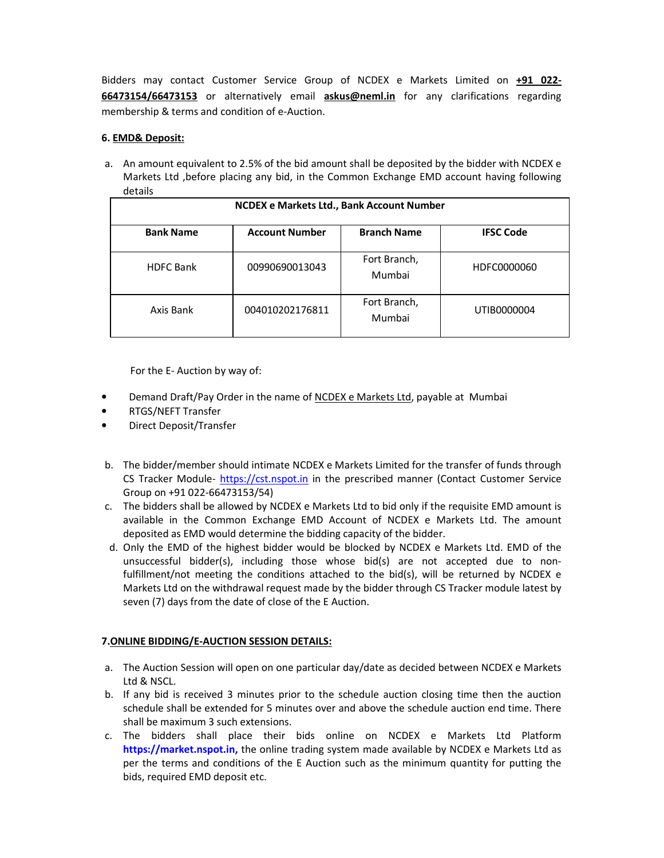Bidders may contact Customer Service Group of NCDEX e Markets Limited on +91 022-66473154/66473153 or alternatively email askus@neml.in for any clarifications regarding membership & terms and condition of e-Auction.

## 6. EMD& Deposit:

a. An amount equivalent to 2.5% of the bid amount shall be deposited by the bidder with NCDEX e Markets Ltd ,before placing any bid, in the Common Exchange EMD account having following details

| NCDEX e Markets Ltd., Bank Account Number |                       |                        |                  |  |  |  |
|-------------------------------------------|-----------------------|------------------------|------------------|--|--|--|
| <b>Bank Name</b>                          | <b>Account Number</b> | <b>Branch Name</b>     | <b>IFSC Code</b> |  |  |  |
| <b>HDFC Bank</b>                          | 00990690013043        | Fort Branch,<br>Mumbai | HDFC0000060      |  |  |  |
| Axis Bank                                 | 004010202176811       | Fort Branch,<br>Mumbai | UTIB0000004      |  |  |  |

For the E- Auction by way of:

- Demand Draft/Pay Order in the name of NCDEX e Markets Ltd, payable at Mumbai
- RTGS/NEFT Transfer
- Direct Deposit/Transfer
- b. The bidder/member should intimate NCDEX e Markets Limited for the transfer of funds through CS Tracker Module- https://cst.nspot.in in the prescribed manner (Contact Customer Service Group on +91 022-66473153/54)
- c. The bidders shall be allowed by NCDEX e Markets Ltd to bid only if the requisite EMD amount is available in the Common Exchange EMD Account of NCDEX e Markets Ltd. The amount deposited as EMD would determine the bidding capacity of the bidder.
- d. Only the EMD of the highest bidder would be blocked by NCDEX e Markets Ltd. EMD of the unsuccessful bidder(s), including those whose bid(s) are not accepted due to nonfulfillment/not meeting the conditions attached to the bid(s), will be returned by NCDEX e Markets Ltd on the withdrawal request made by the bidder through CS Tracker module latest by seven (7) days from the date of close of the E Auction.

## 7.ONLINE BIDDING/E-AUCTION SESSION DETAILS:

- a. The Auction Session will open on one particular day/date as decided between NCDEX e Markets Ltd & NSCL.
- b. If any bid is received 3 minutes prior to the schedule auction closing time then the auction schedule shall be extended for 5 minutes over and above the schedule auction end time. There shall be maximum 3 such extensions.
- c. The bidders shall place their bids online on NCDEX e Markets Ltd Platform https://market.nspot.in, the online trading system made available by NCDEX e Markets Ltd as per the terms and conditions of the E Auction such as the minimum quantity for putting the bids, required EMD deposit etc.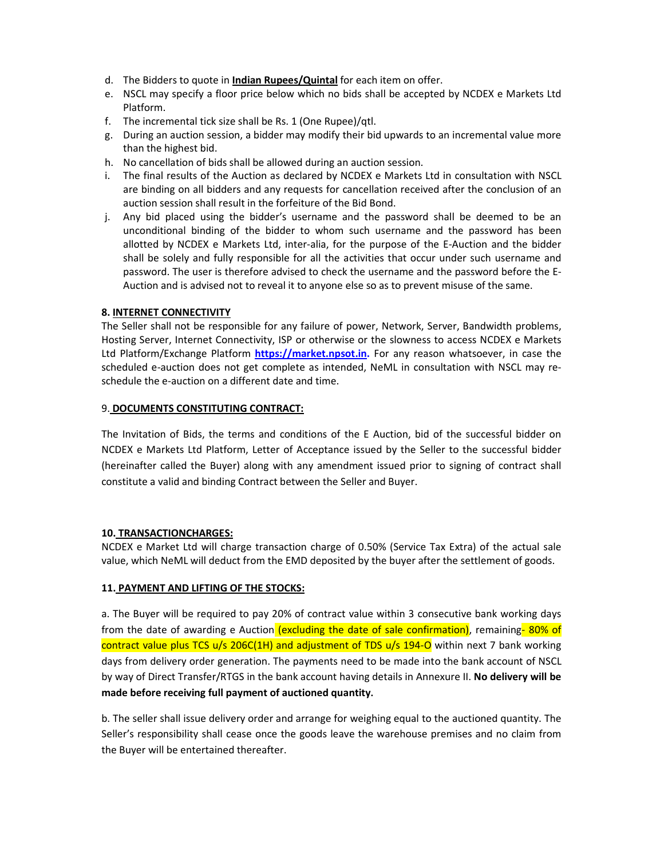- d. The Bidders to quote in Indian Rupees/Quintal for each item on offer.
- e. NSCL may specify a floor price below which no bids shall be accepted by NCDEX e Markets Ltd Platform.
- f. The incremental tick size shall be Rs. 1 (One Rupee)/qtl.
- g. During an auction session, a bidder may modify their bid upwards to an incremental value more than the highest bid.
- h. No cancellation of bids shall be allowed during an auction session.
- i. The final results of the Auction as declared by NCDEX e Markets Ltd in consultation with NSCL are binding on all bidders and any requests for cancellation received after the conclusion of an auction session shall result in the forfeiture of the Bid Bond.
- j. Any bid placed using the bidder's username and the password shall be deemed to be an unconditional binding of the bidder to whom such username and the password has been allotted by NCDEX e Markets Ltd, inter-alia, for the purpose of the E-Auction and the bidder shall be solely and fully responsible for all the activities that occur under such username and password. The user is therefore advised to check the username and the password before the E-Auction and is advised not to reveal it to anyone else so as to prevent misuse of the same.

## 8. INTERNET CONNECTIVITY

The Seller shall not be responsible for any failure of power, Network, Server, Bandwidth problems, Hosting Server, Internet Connectivity, ISP or otherwise or the slowness to access NCDEX e Markets Ltd Platform/Exchange Platform https://market.npsot.in. For any reason whatsoever, in case the scheduled e-auction does not get complete as intended, NeML in consultation with NSCL may reschedule the e-auction on a different date and time.

## 9. DOCUMENTS CONSTITUTING CONTRACT:

The Invitation of Bids, the terms and conditions of the E Auction, bid of the successful bidder on NCDEX e Markets Ltd Platform, Letter of Acceptance issued by the Seller to the successful bidder (hereinafter called the Buyer) along with any amendment issued prior to signing of contract shall constitute a valid and binding Contract between the Seller and Buyer.

## 10. TRANSACTIONCHARGES:

NCDEX e Market Ltd will charge transaction charge of 0.50% (Service Tax Extra) of the actual sale value, which NeML will deduct from the EMD deposited by the buyer after the settlement of goods.

## 11. PAYMENT AND LIFTING OF THE STOCKS:

a. The Buyer will be required to pay 20% of contract value within 3 consecutive bank working days from the date of awarding e Auction (excluding the date of sale confirmation), remaining-80% of contract value plus TCS u/s 206C(1H) and adjustment of TDS u/s 194-O within next 7 bank working days from delivery order generation. The payments need to be made into the bank account of NSCL by way of Direct Transfer/RTGS in the bank account having details in Annexure II. No delivery will be made before receiving full payment of auctioned quantity.

b. The seller shall issue delivery order and arrange for weighing equal to the auctioned quantity. The Seller's responsibility shall cease once the goods leave the warehouse premises and no claim from the Buyer will be entertained thereafter.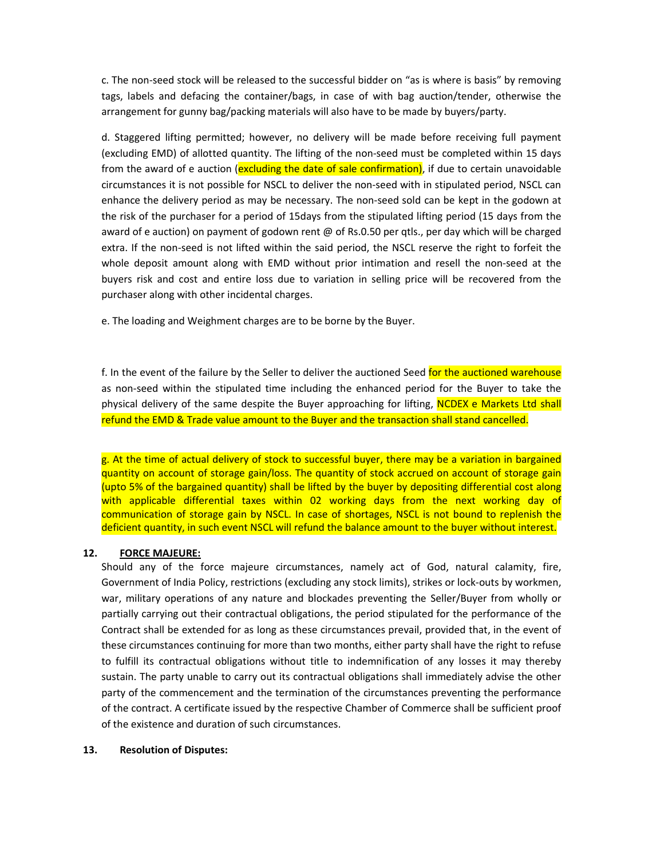c. The non-seed stock will be released to the successful bidder on "as is where is basis" by removing tags, labels and defacing the container/bags, in case of with bag auction/tender, otherwise the arrangement for gunny bag/packing materials will also have to be made by buyers/party.

d. Staggered lifting permitted; however, no delivery will be made before receiving full payment (excluding EMD) of allotted quantity. The lifting of the non-seed must be completed within 15 days from the award of e auction (excluding the date of sale confirmation), if due to certain unavoidable circumstances it is not possible for NSCL to deliver the non-seed with in stipulated period, NSCL can enhance the delivery period as may be necessary. The non-seed sold can be kept in the godown at the risk of the purchaser for a period of 15days from the stipulated lifting period (15 days from the award of e auction) on payment of godown rent @ of Rs.0.50 per qtls., per day which will be charged extra. If the non-seed is not lifted within the said period, the NSCL reserve the right to forfeit the whole deposit amount along with EMD without prior intimation and resell the non-seed at the buyers risk and cost and entire loss due to variation in selling price will be recovered from the purchaser along with other incidental charges.

e. The loading and Weighment charges are to be borne by the Buyer.

f. In the event of the failure by the Seller to deliver the auctioned Seed for the auctioned warehouse as non-seed within the stipulated time including the enhanced period for the Buyer to take the physical delivery of the same despite the Buyer approaching for lifting, NCDEX e Markets Ltd shall refund the EMD & Trade value amount to the Buyer and the transaction shall stand cancelled.

g. At the time of actual delivery of stock to successful buyer, there may be a variation in bargained quantity on account of storage gain/loss. The quantity of stock accrued on account of storage gain (upto 5% of the bargained quantity) shall be lifted by the buyer by depositing differential cost along with applicable differential taxes within 02 working days from the next working day of communication of storage gain by NSCL. In case of shortages, NSCL is not bound to replenish the deficient quantity, in such event NSCL will refund the balance amount to the buyer without interest.

## 12. FORCE MAJEURE:

Should any of the force majeure circumstances, namely act of God, natural calamity, fire, Government of India Policy, restrictions (excluding any stock limits), strikes or lock-outs by workmen, war, military operations of any nature and blockades preventing the Seller/Buyer from wholly or partially carrying out their contractual obligations, the period stipulated for the performance of the Contract shall be extended for as long as these circumstances prevail, provided that, in the event of these circumstances continuing for more than two months, either party shall have the right to refuse to fulfill its contractual obligations without title to indemnification of any losses it may thereby sustain. The party unable to carry out its contractual obligations shall immediately advise the other party of the commencement and the termination of the circumstances preventing the performance of the contract. A certificate issued by the respective Chamber of Commerce shall be sufficient proof of the existence and duration of such circumstances.

### 13. Resolution of Disputes: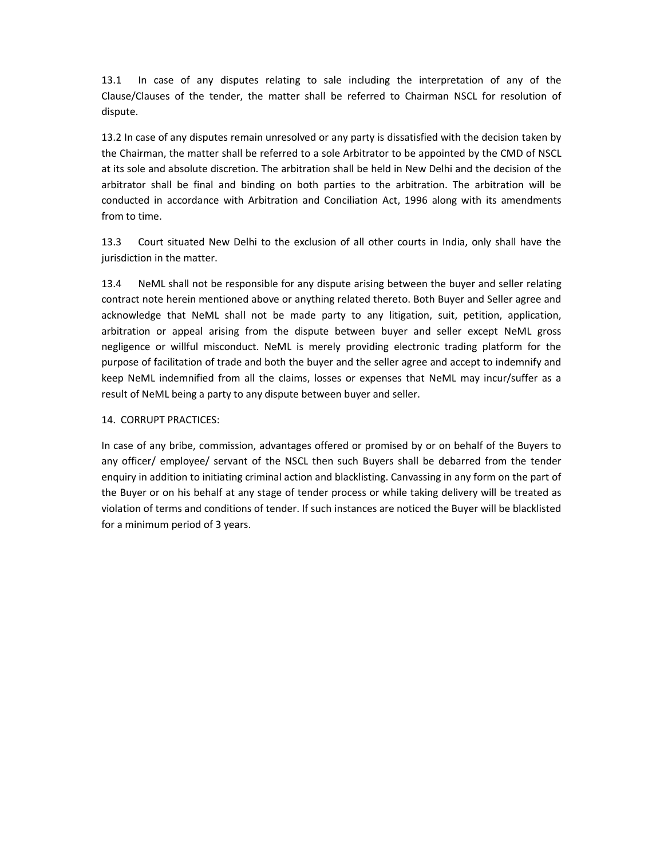13.1 In case of any disputes relating to sale including the interpretation of any of the Clause/Clauses of the tender, the matter shall be referred to Chairman NSCL for resolution of dispute.

13.2 In case of any disputes remain unresolved or any party is dissatisfied with the decision taken by the Chairman, the matter shall be referred to a sole Arbitrator to be appointed by the CMD of NSCL at its sole and absolute discretion. The arbitration shall be held in New Delhi and the decision of the arbitrator shall be final and binding on both parties to the arbitration. The arbitration will be conducted in accordance with Arbitration and Conciliation Act, 1996 along with its amendments from to time.

13.3 Court situated New Delhi to the exclusion of all other courts in India, only shall have the jurisdiction in the matter.

13.4 NeML shall not be responsible for any dispute arising between the buyer and seller relating contract note herein mentioned above or anything related thereto. Both Buyer and Seller agree and acknowledge that NeML shall not be made party to any litigation, suit, petition, application, arbitration or appeal arising from the dispute between buyer and seller except NeML gross negligence or willful misconduct. NeML is merely providing electronic trading platform for the purpose of facilitation of trade and both the buyer and the seller agree and accept to indemnify and keep NeML indemnified from all the claims, losses or expenses that NeML may incur/suffer as a result of NeML being a party to any dispute between buyer and seller.

## 14. CORRUPT PRACTICES:

In case of any bribe, commission, advantages offered or promised by or on behalf of the Buyers to any officer/ employee/ servant of the NSCL then such Buyers shall be debarred from the tender enquiry in addition to initiating criminal action and blacklisting. Canvassing in any form on the part of the Buyer or on his behalf at any stage of tender process or while taking delivery will be treated as violation of terms and conditions of tender. If such instances are noticed the Buyer will be blacklisted for a minimum period of 3 years.